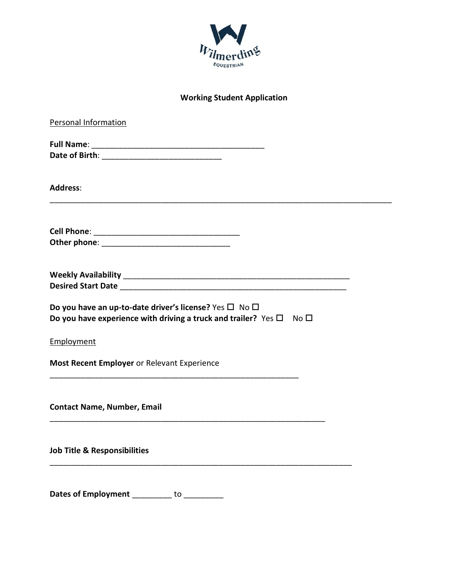

## **Working Student Application**

| <b>Personal Information</b>                                                                                                                                   |
|---------------------------------------------------------------------------------------------------------------------------------------------------------------|
|                                                                                                                                                               |
| <b>Address:</b>                                                                                                                                               |
|                                                                                                                                                               |
| Desired Start Date and the state of the state of the state of the state of the state of the state of the state                                                |
| Do you have an up-to-date driver's license? Yes $\square$ No $\square$<br>Do you have experience with driving a truck and trailer? Yes $\square$ No $\square$ |
| Employment                                                                                                                                                    |
| Most Recent Employer or Relevant Experience                                                                                                                   |
| <b>Contact Name, Number, Email</b>                                                                                                                            |
| <b>Job Title &amp; Responsibilities</b>                                                                                                                       |
| <b>Dates of Employment</b><br>to                                                                                                                              |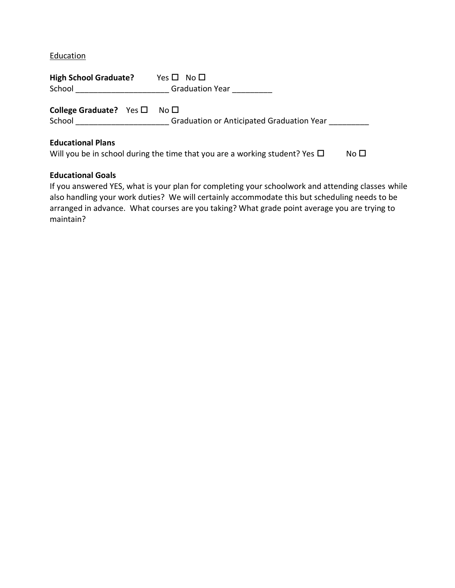**Education** 

| <b>High School Graduate?</b><br>School                  | Yes $\square$ No $\square$<br>Graduation Year |  |  |
|---------------------------------------------------------|-----------------------------------------------|--|--|
| <b>College Graduate?</b> Yes $\Box$ No $\Box$<br>School | Graduation or Anticipated Graduation Year     |  |  |
| <b>Educational Plans</b>                                |                                               |  |  |

# **Educational Plans**

|  |  |  | Will you be in school during the time that you are a working student? Yes $\Box$ | No <sub>1</sub> |
|--|--|--|----------------------------------------------------------------------------------|-----------------|
|--|--|--|----------------------------------------------------------------------------------|-----------------|

### **Educational Goals**

If you answered YES, what is your plan for completing your schoolwork and attending classes while also handling your work duties? We will certainly accommodate this but scheduling needs to be arranged in advance. What courses are you taking? What grade point average you are trying to maintain?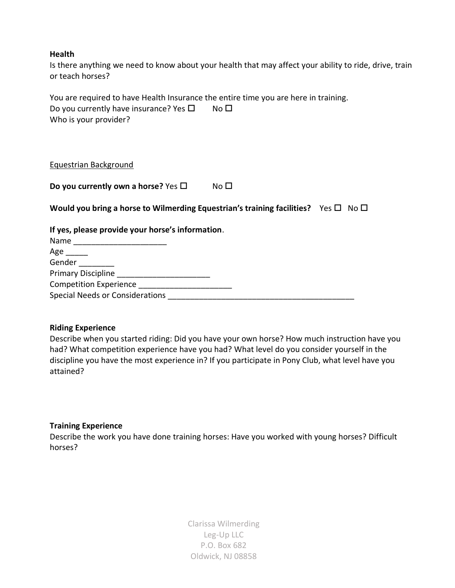#### **Health**

Is there anything we need to know about your health that may affect your ability to ride, drive, train or teach horses?

You are required to have Health Insurance the entire time you are here in training. Do you currently have insurance? Yes  $\square$  No  $\square$ Who is your provider?

Equestrian Background

**Do you currently own a horse?** Yes  $\square$  No  $\square$ 

**Would you bring a horse to Wilmerding Equestrian's training facilities?** Yes  $\Box$  No  $\Box$ 

### **If yes, please provide your horse's information**.

| Name                                   |  |
|----------------------------------------|--|
| Age                                    |  |
| Gender                                 |  |
| <b>Primary Discipline</b>              |  |
| <b>Competition Experience</b>          |  |
| <b>Special Needs or Considerations</b> |  |

### **Riding Experience**

Describe when you started riding: Did you have your own horse? How much instruction have you had? What competition experience have you had? What level do you consider yourself in the discipline you have the most experience in? If you participate in Pony Club, what level have you attained?

### **Training Experience**

Describe the work you have done training horses: Have you worked with young horses? Difficult horses?

> Clarissa Wilmerding Leg-Up LLC P.O. Box 682 Oldwick, NJ 08858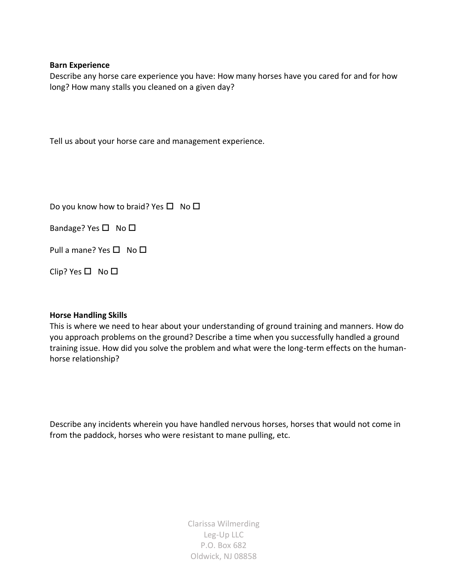#### **Barn Experience**

Describe any horse care experience you have: How many horses have you cared for and for how long? How many stalls you cleaned on a given day?

Tell us about your horse care and management experience.

Do you know how to braid? Yes  $\Box$  No  $\Box$ 

Bandage? Yes  $\square$  No  $\square$ 

Pull a mane? Yes  $\square$  No  $\square$ 

Clip? Yes  $\Box$  No  $\Box$ 

### **Horse Handling Skills**

This is where we need to hear about your understanding of ground training and manners. How do you approach problems on the ground? Describe a time when you successfully handled a ground training issue. How did you solve the problem and what were the long-term effects on the humanhorse relationship?

Describe any incidents wherein you have handled nervous horses, horses that would not come in from the paddock, horses who were resistant to mane pulling, etc.

> Clarissa Wilmerding Leg-Up LLC P.O. Box 682 Oldwick, NJ 08858